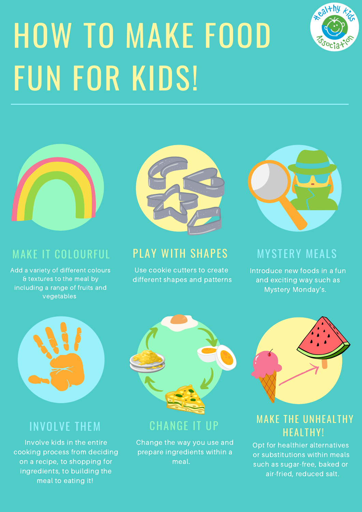Involve kids in the entire cooking process from deciding on a recipe, to shopping for ingredients, to building the meal to eating it!

### INVOLVE THEM CHANGE IT UP

# HOW TO MAKE FOOD FUN FOR KIDS!







#### MAKE IT COLOURFUL

Add a variety of different colours & textures to the meal by including a range of fruits and vegetables

### PLAY WITH SHAPES

Use cookie cutters to create

different shapes and patterns

#### MYSTERY MEALS

Introduce new foods in a fun

and exciting way such as Mystery Monday's.



Change the way you use and prepare ingredients within a meal.

#### MAKE THE UNHEALTHY HEALTHY!

Opt for healthier alternatives or substitutions within meals such as sugar-free, baked or air-fried, reduced salt.